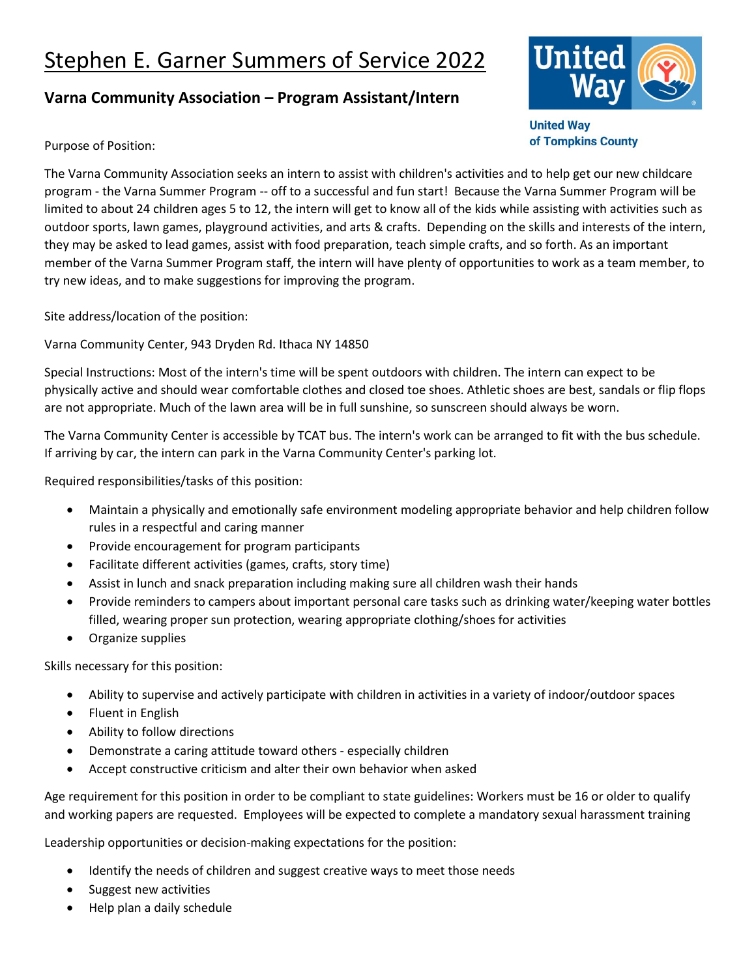## Stephen E. Garner Summers of Service 2022

## **Varna Community Association – Program Assistant/Intern**



**United Way** of Tompkins County

Purpose of Position:

The Varna Community Association seeks an intern to assist with children's activities and to help get our new childcare program - the Varna Summer Program -- off to a successful and fun start! Because the Varna Summer Program will be limited to about 24 children ages 5 to 12, the intern will get to know all of the kids while assisting with activities such as outdoor sports, lawn games, playground activities, and arts & crafts. Depending on the skills and interests of the intern, they may be asked to lead games, assist with food preparation, teach simple crafts, and so forth. As an important member of the Varna Summer Program staff, the intern will have plenty of opportunities to work as a team member, to try new ideas, and to make suggestions for improving the program.

Site address/location of the position:

Varna Community Center, 943 Dryden Rd. Ithaca NY 14850

Special Instructions: Most of the intern's time will be spent outdoors with children. The intern can expect to be physically active and should wear comfortable clothes and closed toe shoes. Athletic shoes are best, sandals or flip flops are not appropriate. Much of the lawn area will be in full sunshine, so sunscreen should always be worn.

The Varna Community Center is accessible by TCAT bus. The intern's work can be arranged to fit with the bus schedule. If arriving by car, the intern can park in the Varna Community Center's parking lot.

Required responsibilities/tasks of this position:

- Maintain a physically and emotionally safe environment modeling appropriate behavior and help children follow rules in a respectful and caring manner
- Provide encouragement for program participants
- Facilitate different activities (games, crafts, story time)
- Assist in lunch and snack preparation including making sure all children wash their hands
- Provide reminders to campers about important personal care tasks such as drinking water/keeping water bottles filled, wearing proper sun protection, wearing appropriate clothing/shoes for activities
- Organize supplies

Skills necessary for this position:

- Ability to supervise and actively participate with children in activities in a variety of indoor/outdoor spaces
- Fluent in English
- Ability to follow directions
- Demonstrate a caring attitude toward others especially children
- Accept constructive criticism and alter their own behavior when asked

Age requirement for this position in order to be compliant to state guidelines: Workers must be 16 or older to qualify and working papers are requested. Employees will be expected to complete a mandatory sexual harassment training

Leadership opportunities or decision-making expectations for the position:

- Identify the needs of children and suggest creative ways to meet those needs
- Suggest new activities
- Help plan a daily schedule